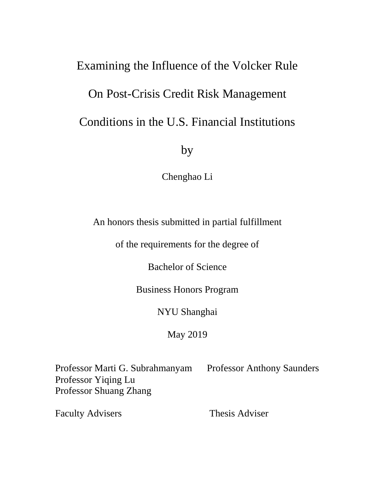# Examining the Influence of the Volcker Rule On Post-Crisis Credit Risk Management Conditions in the U.S. Financial Institutions

by

Chenghao Li

An honors thesis submitted in partial fulfillment

of the requirements for the degree of

Bachelor of Science

Business Honors Program

NYU Shanghai

May 2019

Professor Marti G. Subrahmanyam Professor Anthony Saunders Professor Yiqing Lu Professor Shuang Zhang

Faculty Advisers Thesis Adviser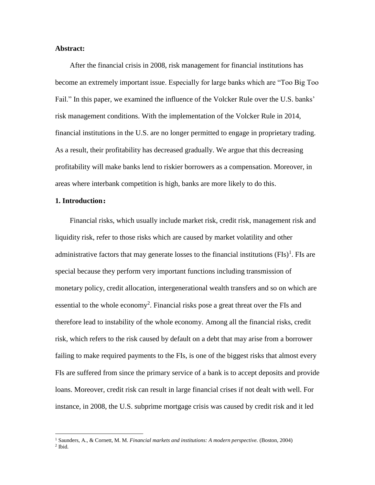#### **Abstract:**

 After the financial crisis in 2008, risk management for financial institutions has become an extremely important issue. Especially for large banks which are "Too Big Too Fail." In this paper, we examined the influence of the Volcker Rule over the U.S. banks' risk management conditions. With the implementation of the Volcker Rule in 2014, financial institutions in the U.S. are no longer permitted to engage in proprietary trading. As a result, their profitability has decreased gradually. We argue that this decreasing profitability will make banks lend to riskier borrowers as a compensation. Moreover, in areas where interbank competition is high, banks are more likely to do this.

#### **1. Introduction:**

 $\overline{a}$ 

Financial risks, which usually include market risk, credit risk, management risk and liquidity risk, refer to those risks which are caused by market volatility and other administrative factors that may generate losses to the financial institutions  $(FIs)^{1}$ . FIs are special because they perform very important functions including transmission of monetary policy, credit allocation, intergenerational wealth transfers and so on which are essential to the whole economy<sup>2</sup>. Financial risks pose a great threat over the FIs and therefore lead to instability of the whole economy. Among all the financial risks, credit risk, which refers to the risk caused by default on a debt that may arise from a borrower failing to make required payments to the FIs, is one of the biggest risks that almost every FIs are suffered from since the primary service of a bank is to accept deposits and provide loans. Moreover, credit risk can result in large financial crises if not dealt with well. For instance, in 2008, the U.S. subprime mortgage crisis was caused by credit risk and it led

<sup>1</sup> Saunders, A., & Cornett, M. M. *Financial markets and institutions: A modern perspective.* (Boston, 2004) 2 Ibid.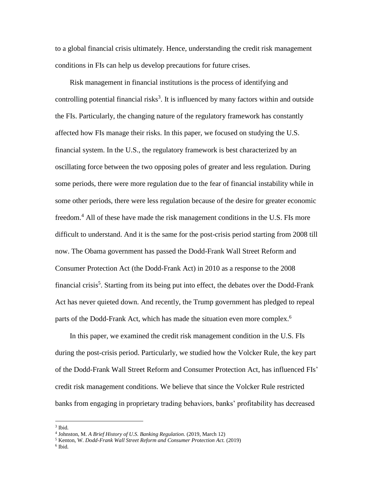to a global financial crisis ultimately. Hence, understanding the credit risk management conditions in FIs can help us develop precautions for future crises.

Risk management in financial institutions is the process of identifying and controlling potential financial risks<sup>3</sup>. It is influenced by many factors within and outside the FIs. Particularly, the changing nature of the regulatory framework has constantly affected how FIs manage their risks. In this paper, we focused on studying the U.S. financial system. In the U.S., the regulatory framework is best characterized by an oscillating force between the two opposing poles of greater and less regulation. During some periods, there were more regulation due to the fear of financial instability while in some other periods, there were less regulation because of the desire for greater economic freedom.<sup>4</sup> All of these have made the risk management conditions in the U.S. FIs more difficult to understand. And it is the same for the post-crisis period starting from 2008 till now. The Obama government has passed the Dodd-Frank Wall Street Reform and Consumer Protection Act (the Dodd-Frank Act) in 2010 as a response to the 2008 financial crisis<sup>5</sup>. Starting from its being put into effect, the debates over the Dodd-Frank Act has never quieted down. And recently, the Trump government has pledged to repeal parts of the Dodd-Frank Act, which has made the situation even more complex.<sup>6</sup>

In this paper, we examined the credit risk management condition in the U.S. FIs during the post-crisis period. Particularly, we studied how the Volcker Rule, the key part of the Dodd-Frank Wall Street Reform and Consumer Protection Act, has influenced FIs' credit risk management conditions. We believe that since the Volcker Rule restricted banks from engaging in proprietary trading behaviors, banks' profitability has decreased

 $\overline{a}$ 

6 Ibid.

<sup>3</sup> Ibid.

<sup>4</sup> Johnston, M. *A Brief History of U.S. Banking Regulation.* (2019, March 12)

<sup>5</sup> Kenton, W. *Dodd-Frank Wall Street Reform and Consumer Protection Act.* (2019)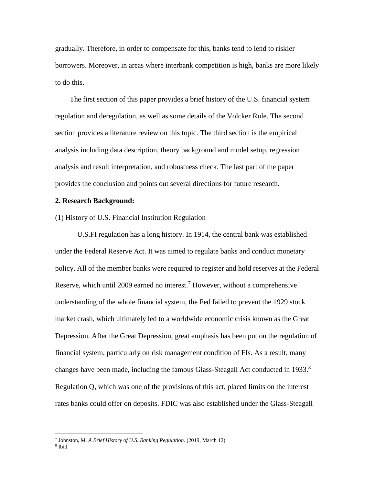gradually. Therefore, in order to compensate for this, banks tend to lend to riskier borrowers. Moreover, in areas where interbank competition is high, banks are more likely to do this.

The first section of this paper provides a brief history of the U.S. financial system regulation and deregulation, as well as some details of the Volcker Rule. The second section provides a literature review on this topic. The third section is the empirical analysis including data description, theory background and model setup, regression analysis and result interpretation, and robustness check. The last part of the paper provides the conclusion and points out several directions for future research.

#### **2. Research Background:**

(1) History of U.S. Financial Institution Regulation

U.S.FI regulation has a long history. In 1914, the central bank was established under the Federal Reserve Act. It was aimed to regulate banks and conduct monetary policy. All of the member banks were required to register and hold reserves at the Federal Reserve, which until 2009 earned no interest.<sup>7</sup> However, without a comprehensive understanding of the whole financial system, the Fed failed to prevent the 1929 stock market crash, which ultimately led to a worldwide economic crisis known as the Great Depression. After the Great Depression, great emphasis has been put on the regulation of financial system, particularly on risk management condition of FIs. As a result, many changes have been made, including the famous Glass-Steagall Act conducted in 1933.<sup>8</sup> Regulation Q, which was one of the provisions of this act, placed limits on the interest rates banks could offer on deposits. FDIC was also established under the Glass-Steagall

<sup>7</sup> Johnston, M. *A Brief History of U.S. Banking Regulation.* (2019, March 12)

<sup>8</sup> Ibid.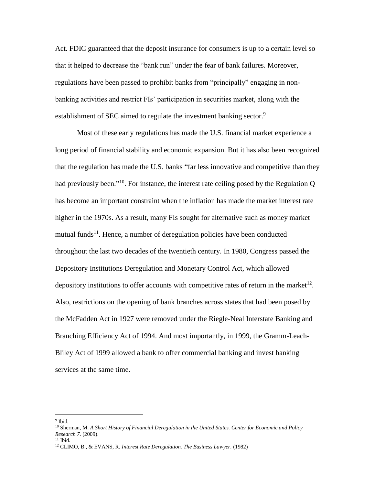Act. FDIC guaranteed that the deposit insurance for consumers is up to a certain level so that it helped to decrease the "bank run" under the fear of bank failures. Moreover, regulations have been passed to prohibit banks from "principally" engaging in nonbanking activities and restrict FIs' participation in securities market, along with the establishment of SEC aimed to regulate the investment banking sector.<sup>9</sup>

Most of these early regulations has made the U.S. financial market experience a long period of financial stability and economic expansion. But it has also been recognized that the regulation has made the U.S. banks "far less innovative and competitive than they had previously been."<sup>10</sup>. For instance, the interest rate ceiling posed by the Regulation  $Q$ has become an important constraint when the inflation has made the market interest rate higher in the 1970s. As a result, many FIs sought for alternative such as money market mutual funds<sup>11</sup>. Hence, a number of deregulation policies have been conducted throughout the last two decades of the twentieth century. In 1980, Congress passed the Depository Institutions Deregulation and Monetary Control Act, which allowed depository institutions to offer accounts with competitive rates of return in the market<sup>12</sup>. Also, restrictions on the opening of bank branches across states that had been posed by the McFadden Act in 1927 were removed under the Riegle-Neal Interstate Banking and Branching Efficiency Act of 1994. And most importantly, in 1999, the Gramm-Leach-Bliley Act of 1999 allowed a bank to offer commercial banking and invest banking services at the same time.

<sup>9</sup> Ibid.

<sup>10</sup> Sherman, M. *A Short History of Financial Deregulation in the United States. Center for Economic and Policy Research 7.* (2009).

 $11$  Ibid.

<sup>12</sup> CLIMO, B., & EVANS, R. *Interest Rate Deregulation. The Business Lawyer.* (1982)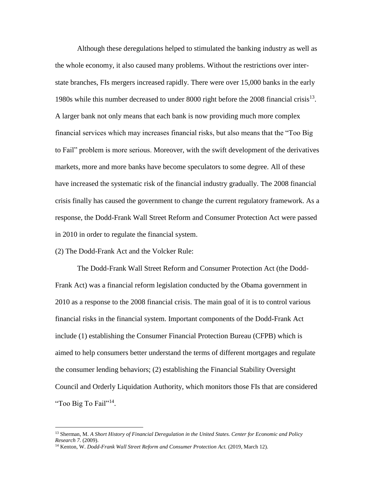Although these deregulations helped to stimulated the banking industry as well as the whole economy, it also caused many problems. Without the restrictions over interstate branches, FIs mergers increased rapidly. There were over 15,000 banks in the early 1980s while this number decreased to under 8000 right before the 2008 financial crisis $^{13}$ . A larger bank not only means that each bank is now providing much more complex financial services which may increases financial risks, but also means that the "Too Big to Fail" problem is more serious. Moreover, with the swift development of the derivatives markets, more and more banks have become speculators to some degree. All of these have increased the systematic risk of the financial industry gradually. The 2008 financial crisis finally has caused the government to change the current regulatory framework. As a response, the Dodd-Frank Wall Street Reform and Consumer Protection Act were passed in 2010 in order to regulate the financial system.

(2) The Dodd-Frank Act and the Volcker Rule:

 $\overline{a}$ 

The Dodd-Frank Wall Street Reform and Consumer Protection Act (the Dodd-Frank Act) was a financial reform legislation conducted by the Obama government in 2010 as a response to the 2008 financial crisis. The main goal of it is to control various financial risks in the financial system. Important components of the Dodd-Frank Act include (1) establishing the Consumer Financial Protection Bureau (CFPB) which is aimed to help consumers better understand the terms of different mortgages and regulate the consumer lending behaviors; (2) establishing the Financial Stability Oversight Council and Orderly Liquidation Authority, which monitors those FIs that are considered "Too Big To Fail"<sup>14</sup>.

<sup>13</sup> Sherman, M. *A Short History of Financial Deregulation in the United States. Center for Economic and Policy Research 7.* (2009).

<sup>14</sup> Kenton, W. *Dodd-Frank Wall Street Reform and Consumer Protection Act.* (2019, March 12).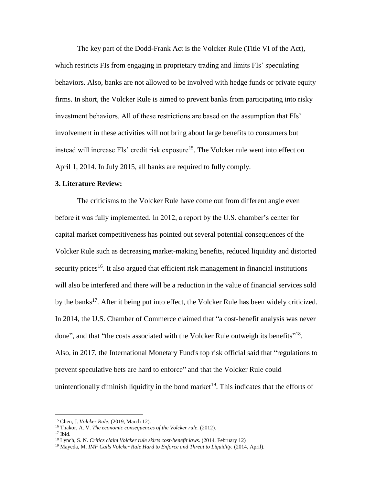The key part of the Dodd-Frank Act is the Volcker Rule (Title VI of the Act), which restricts FIs from engaging in proprietary trading and limits FIs' speculating behaviors. Also, banks are not allowed to be involved with hedge funds or private equity firms. In short, the Volcker Rule is aimed to prevent banks from participating into risky investment behaviors. All of these restrictions are based on the assumption that FIs' involvement in these activities will not bring about large benefits to consumers but instead will increase FIs' credit risk exposure<sup>15</sup>. The Volcker rule went into effect on April 1, 2014. In July 2015, all banks are required to fully comply.

#### **3. Literature Review:**

The criticisms to the Volcker Rule have come out from different angle even before it was fully implemented. In 2012, a report by the U.S. chamber's center for capital market competitiveness has pointed out several potential consequences of the Volcker Rule such as decreasing market-making benefits, reduced liquidity and distorted security prices<sup>16</sup>. It also argued that efficient risk management in financial institutions will also be interfered and there will be a reduction in the value of financial services sold by the banks<sup>17</sup>. After it being put into effect, the Volcker Rule has been widely criticized. In 2014, the U.S. Chamber of Commerce claimed that "a cost-benefit analysis was never done", and that "the costs associated with the Volcker Rule outweigh its benefits"<sup>18</sup>. Also, in 2017, the International Monetary Fund's top risk official said that "regulations to prevent speculative bets are hard to enforce" and that the Volcker Rule could unintentionally diminish liquidity in the bond market<sup>19</sup>. This indicates that the efforts of

<sup>15</sup> Chen, J. *Volcker Rule.* (2019, March 12).

<sup>16</sup> Thakor, A. V. *The economic consequences of the Volcker rule*. (2012).

<sup>17</sup> Ibid.

<sup>18</sup> Lynch, S. N. *Critics claim Volcker rule skirts cost-benefit laws.* (2014, February 12)

<sup>&</sup>lt;sup>19</sup> Mayeda, M. *IMF Calls Volcker Rule Hard to Enforce and Threat to Liquidity.* (2014, April).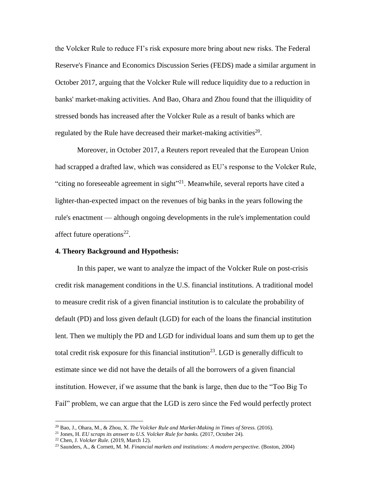the Volcker Rule to reduce FI's risk exposure more bring about new risks. The Federal Reserve's Finance and Economics Discussion Series (FEDS) made a similar argument in October 2017, arguing that the Volcker Rule will reduce liquidity due to a reduction in banks' market-making activities. And Bao, Ohara and Zhou found that the illiquidity of stressed bonds has increased after the Volcker Rule as a result of banks which are regulated by the Rule have decreased their market-making activities<sup>20</sup>.

Moreover, in October 2017, a Reuters report revealed that the European Union had scrapped a drafted law, which was considered as EU's response to the Volcker Rule, "citing no foreseeable agreement in sight"<sup>21</sup>. Meanwhile, several reports have cited a lighter-than-expected impact on the revenues of big banks in the years following the rule's enactment — although ongoing developments in the rule's implementation could affect future operations<sup>22</sup>.

#### **4. Theory Background and Hypothesis:**

In this paper, we want to analyze the impact of the Volcker Rule on post-crisis credit risk management conditions in the U.S. financial institutions. A traditional model to measure credit risk of a given financial institution is to calculate the probability of default (PD) and loss given default (LGD) for each of the loans the financial institution lent. Then we multiply the PD and LGD for individual loans and sum them up to get the total credit risk exposure for this financial institution<sup>23</sup>. LGD is generally difficult to estimate since we did not have the details of all the borrowers of a given financial institution. However, if we assume that the bank is large, then due to the "Too Big To Fail" problem, we can argue that the LGD is zero since the Fed would perfectly protect

<sup>20</sup> Bao, J., Ohara, M., & Zhou, X. *The Volcker Rule and Market-Making in Times of Stress.* (2016).

<sup>21</sup> Jones, H. *EU scraps its answer to U.S. Volcker Rule for banks.* (2017, October 24).

<sup>22</sup> Chen, J. *Volcker Rule.* (2019, March 12).

<sup>23</sup> Saunders, A., & Cornett, M. M. *Financial markets and institutions: A modern perspective.* (Boston, 2004)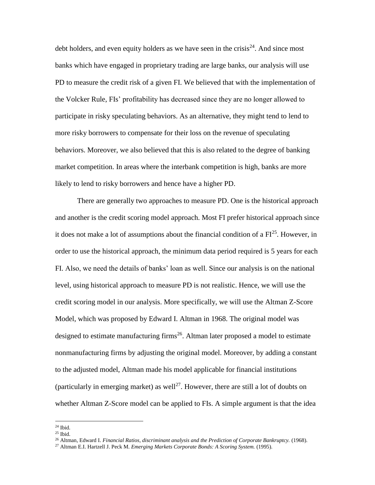debt holders, and even equity holders as we have seen in the crisis $^{24}$ . And since most banks which have engaged in proprietary trading are large banks, our analysis will use PD to measure the credit risk of a given FI. We believed that with the implementation of the Volcker Rule, FIs' profitability has decreased since they are no longer allowed to participate in risky speculating behaviors. As an alternative, they might tend to lend to more risky borrowers to compensate for their loss on the revenue of speculating behaviors. Moreover, we also believed that this is also related to the degree of banking market competition. In areas where the interbank competition is high, banks are more likely to lend to risky borrowers and hence have a higher PD.

There are generally two approaches to measure PD. One is the historical approach and another is the credit scoring model approach. Most FI prefer historical approach since it does not make a lot of assumptions about the financial condition of a  $FI^{25}$ . However, in order to use the historical approach, the minimum data period required is 5 years for each FI. Also, we need the details of banks' loan as well. Since our analysis is on the national level, using historical approach to measure PD is not realistic. Hence, we will use the credit scoring model in our analysis. More specifically, we will use the Altman Z-Score Model, which was proposed by Edward I. Altman in 1968. The original model was designed to estimate manufacturing firms<sup>26</sup>. Altman later proposed a model to estimate nonmanufacturing firms by adjusting the original model. Moreover, by adding a constant to the adjusted model, Altman made his model applicable for financial institutions (particularly in emerging market) as well<sup>27</sup>. However, there are still a lot of doubts on whether Altman Z-Score model can be applied to FIs. A simple argument is that the idea

 $24$  Ibid.

 $25$  Ibid.

<sup>26</sup> Altman, Edward I. *Financial Ratios, discriminant analysis and the Prediction of Corporate Bankruptcy.* (1968).

<sup>27</sup> Altman E.I. Hartzell J. Peck M. *Emerging Markets Corporate Bonds: A Scoring System.* (1995).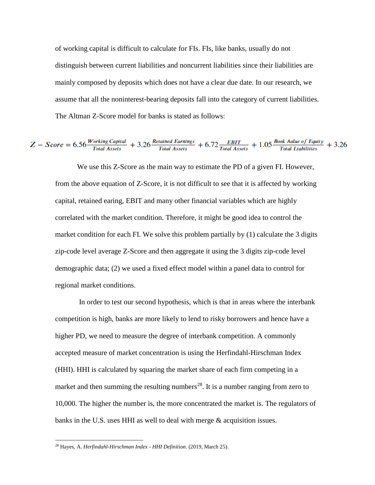of working capital is difficult to calculate for FIs. FIs, like banks, usually do not distinguish between current liabilities and noncurrent liabilities since their liabilities are mainly composed by deposits which does not have a clear due date. In our research, we assume that all the noninterest-bearing deposits fall into the category of current liabilities. The Altman Z-Score model for banks is stated as follows:

$$
Z-Score=6.56\frac{Working\;Capital}{Total\; Assets}+3.26\frac{Retained\;Earnings}{Total\; Assets}+6.72\frac{EBIT}{Total\; Assets}+1.05\frac{Book\; Aalue\; of\; Equity}{Total\; Liabilities}+3.26
$$

We use this Z-Score as the main way to estimate the PD of a given FI. However, from the above equation of Z-Score, it is not difficult to see that it is affected by working capital, retained earing, EBIT and many other financial variables which are highly correlated with the market condition. Therefore, it might be good idea to control the market condition for each FI. We solve this problem partially by (1) calculate the 3 digits zip-code level average Z-Score and then aggregate it using the 3 digits zip-code level demographic data; (2) we used a fixed effect model within a panel data to control for regional market conditions.

In order to test our second hypothesis, which is that in areas where the interbank competition is high, banks are more likely to lend to risky borrowers and hence have a higher PD, we need to measure the degree of interbank competition. A commonly accepted measure of market concentration is using the Herfindahl-Hirschman Index (HHI). HHI is calculated by squaring the market share of each firm competing in a market and then summing the resulting numbers<sup>28</sup>. It is a number ranging from zero to 10,000. The higher the number is, the more concentrated the market is. The regulators of banks in the U.S. uses HHI as well to deal with merge & acquisition issues.

<sup>28</sup> Hayes, A. *Herfindahl-Hirschman Index - HHI Definition.* (2019, March 25).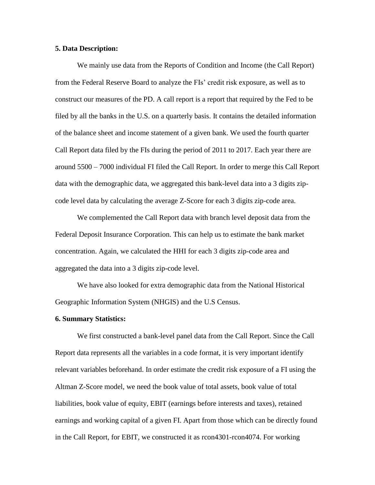#### **5. Data Description:**

We mainly use data from the Reports of Condition and Income (the Call Report) from the Federal Reserve Board to analyze the FIs' credit risk exposure, as well as to construct our measures of the PD. A call report is a report that required by the Fed to be filed by all the banks in the U.S. on a quarterly basis. It contains the detailed information of the balance sheet and income statement of a given bank. We used the fourth quarter Call Report data filed by the FIs during the period of 2011 to 2017. Each year there are around 5500 – 7000 individual FI filed the Call Report. In order to merge this Call Report data with the demographic data, we aggregated this bank-level data into a 3 digits zipcode level data by calculating the average Z-Score for each 3 digits zip-code area.

We complemented the Call Report data with branch level deposit data from the Federal Deposit Insurance Corporation. This can help us to estimate the bank market concentration. Again, we calculated the HHI for each 3 digits zip-code area and aggregated the data into a 3 digits zip-code level.

We have also looked for extra demographic data from the National Historical Geographic Information System (NHGIS) and the U.S Census.

#### **6. Summary Statistics:**

We first constructed a bank-level panel data from the Call Report. Since the Call Report data represents all the variables in a code format, it is very important identify relevant variables beforehand. In order estimate the credit risk exposure of a FI using the Altman Z-Score model, we need the book value of total assets, book value of total liabilities, book value of equity, EBIT (earnings before interests and taxes), retained earnings and working capital of a given FI. Apart from those which can be directly found in the Call Report, for EBIT, we constructed it as rcon4301-rcon4074. For working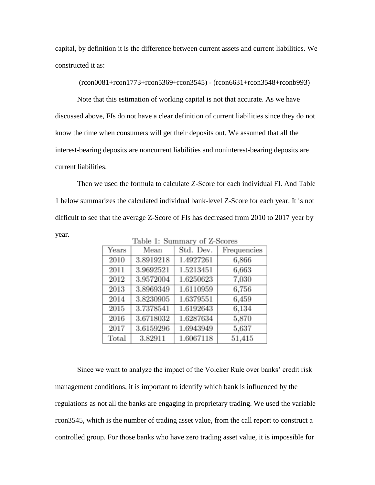capital, by definition it is the difference between current assets and current liabilities. We constructed it as:

(rcon0081+rcon1773+rcon5369+rcon3545) - (rcon6631+rcon3548+rconb993)

Note that this estimation of working capital is not that accurate. As we have discussed above, FIs do not have a clear definition of current liabilities since they do not know the time when consumers will get their deposits out. We assumed that all the interest-bearing deposits are noncurrent liabilities and noninterest-bearing deposits are current liabilities.

Then we used the formula to calculate Z-Score for each individual FI. And Table 1 below summarizes the calculated individual bank-level Z-Score for each year. It is not difficult to see that the average Z-Score of FIs has decreased from 2010 to 2017 year by year.

Mean Std. Dev. Frequencies Years 2010 3.8919218 1.4927261 6,866 2011 3.9692521 1.5213451 6,663 2012 3.9572004 1.6250623 7,030 2013 3.8969349 1.6110959 6,756 2014 3.8230905 6,459 1.6379551 2015 3.7378541 1.6192643 6,134 2016 3.6718032 5,870 1.6287634 2017 3.6159296 1.6943949 5,637 Total 3.82911 1.6067118 51,415

Table 1: Summary of Z-Scores

Since we want to analyze the impact of the Volcker Rule over banks' credit risk management conditions, it is important to identify which bank is influenced by the regulations as not all the banks are engaging in proprietary trading. We used the variable rcon3545, which is the number of trading asset value, from the call report to construct a controlled group. For those banks who have zero trading asset value, it is impossible for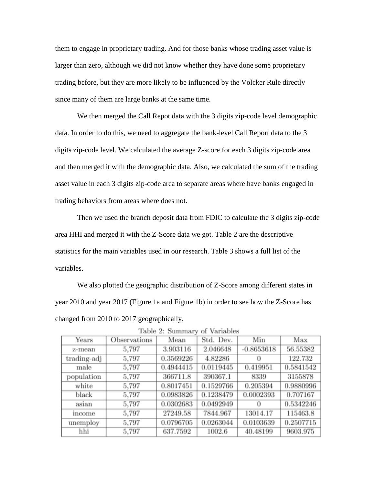them to engage in proprietary trading. And for those banks whose trading asset value is larger than zero, although we did not know whether they have done some proprietary trading before, but they are more likely to be influenced by the Volcker Rule directly since many of them are large banks at the same time.

We then merged the Call Repot data with the 3 digits zip-code level demographic data. In order to do this, we need to aggregate the bank-level Call Report data to the 3 digits zip-code level. We calculated the average Z-score for each 3 digits zip-code area and then merged it with the demographic data. Also, we calculated the sum of the trading asset value in each 3 digits zip-code area to separate areas where have banks engaged in trading behaviors from areas where does not.

Then we used the branch deposit data from FDIC to calculate the 3 digits zip-code area HHI and merged it with the Z-Score data we got. Table 2 are the descriptive statistics for the main variables used in our research. Table 3 shows a full list of the variables.

We also plotted the geographic distribution of Z-Score among different states in year 2010 and year 2017 (Figure 1a and Figure 1b) in order to see how the Z-Score has changed from 2010 to 2017 geographically.

| Years       | Observations | Mean      | Std. Dev. | Min          | Max       |
|-------------|--------------|-----------|-----------|--------------|-----------|
| z-mean      | 5,797        | 3.903116  | 2.046648  | $-0.8653618$ | 56.55382  |
| trading-adj | 5,797        | 0.3569226 | 4.82286   | 0            | 122.732   |
| male        | 5,797        | 0.4944415 | 0.0119445 | 0.419951     | 0.5841542 |
| population  | 5,797        | 366711.8  | 390367.1  | 8339         | 3155878   |
| white       | 5,797        | 0.8017451 | 0.1529766 | 0.205394     | 0.9880996 |
| black       | 5,797        | 0.0983826 | 0.1238479 | 0.0002393    | 0.707167  |
| asian       | 5,797        | 0.0302683 | 0.0492949 | 0            | 0.5342246 |
| income      | 5,797        | 27249.58  | 7844.967  | 13014.17     | 115463.8  |
| unemploy    | 5,797        | 0.0796705 | 0.0263044 | 0.0103639    | 0.2507715 |
| hhi         | 5,797        | 637.7592  | 1002.6    | 40.48199     | 9603.975  |

Table 2: Summary of Variables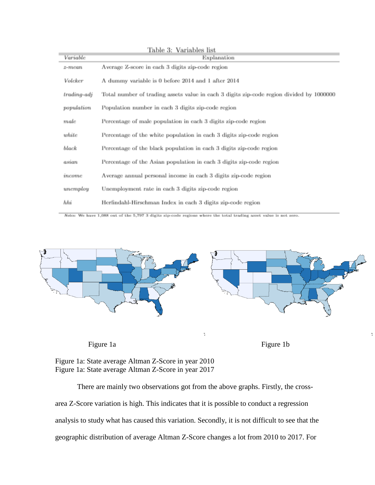| Variable      | Explanation                                                                              |
|---------------|------------------------------------------------------------------------------------------|
| $z$ -mean     | Average Z-score in each 3 digits zip-code region                                         |
| Volcker       | A dummy variable is 0 before 2014 and 1 after 2014                                       |
| $trading-adj$ | Total number of trading assets value in each 3 digits zip-code region divided by 1000000 |
| population    | Population number in each 3 digits zip-code region                                       |
| $_{male}$     | Percentage of male population in each 3 digits zip-code region                           |
| white         | Percentage of the white population in each 3 digits zip-code region                      |
| black         | Percentage of the black population in each 3 digits zip-code region                      |
| asian         | Percentage of the Asian population in each 3 digits zip-code region                      |
| income        | Average annual personal income in each 3 digits zip-code region                          |
| unemploy      | Unemployment rate in each 3 digits zip-code region                                       |
| hhi           | Herfindahl-Hirschman Index in each 3 digits zip-code region                              |

Notes: We have 1,088 out of the 5,797 3 digits zip-code regions where the total trading asset value is not zero.



Figure 1a: State average Altman Z-Score in year 2010 Figure 1a: State average Altman Z-Score in year 2017

There are mainly two observations got from the above graphs. Firstly, the crossarea Z-Score variation is high. This indicates that it is possible to conduct a regression analysis to study what has caused this variation. Secondly, it is not difficult to see that the geographic distribution of average Altman Z-Score changes a lot from 2010 to 2017. For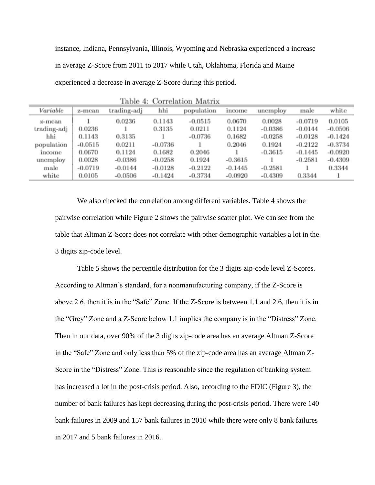instance, Indiana, Pennsylvania, Illinois, Wyoming and Nebraska experienced a increase in average Z-Score from 2011 to 2017 while Utah, Oklahoma, Florida and Maine experienced a decrease in average Z-Score during this period.

| raore 4. Conreianon ivianiz |           |             |           |            |           |           |           |           |
|-----------------------------|-----------|-------------|-----------|------------|-----------|-----------|-----------|-----------|
| Variable                    | z-mean    | trading-adj | hhi       | population | income    | unemploy  | male      | white     |
| z-mean                      |           | 0.0236      | 0.1143    | $-0.0515$  | 0.0670    | 0.0028    | $-0.0719$ | 0.0105    |
| trading-adj                 | 0.0236    |             | 0.3135    | 0.0211     | 0.1124    | $-0.0386$ | $-0.0144$ | $-0.0506$ |
| hhi                         | 0.1143    | 0.3135      |           | $-0.0736$  | 0.1682    | $-0.0258$ | $-0.0128$ | $-0.1424$ |
| population                  | $-0.0515$ | 0.0211      | $-0.0736$ |            | 0.2046    | 0.1924    | $-0.2122$ | $-0.3734$ |
| income                      | 0.0670    | 0.1124      | 0.1682    | 0.2046     |           | $-0.3615$ | $-0.1445$ | $-0.0920$ |
| unemploy                    | 0.0028    | $-0.0386$   | $-0.0258$ | 0.1924     | $-0.3615$ |           | $-0.2581$ | $-0.4309$ |
| male                        | $-0.0719$ | $-0.0144$   | $-0.0128$ | $-0.2122$  | $-0.1445$ | $-0.2581$ |           | 0.3344    |
| white                       | 0.0105    | $-0.0506$   | $-0.1424$ | $-0.3734$  | $-0.0920$ | $-0.4309$ | 0.3344    |           |

Table 4: Correlation Matrix

We also checked the correlation among different variables. Table 4 shows the pairwise correlation while Figure 2 shows the pairwise scatter plot. We can see from the table that Altman Z-Score does not correlate with other demographic variables a lot in the 3 digits zip-code level.

Table 5 shows the percentile distribution for the 3 digits zip-code level Z-Scores. According to Altman's standard, for a nonmanufacturing company, if the Z-Score is above 2.6, then it is in the "Safe" Zone. If the Z-Score is between 1.1 and 2.6, then it is in the "Grey" Zone and a Z-Score below 1.1 implies the company is in the "Distress" Zone. Then in our data, over 90% of the 3 digits zip-code area has an average Altman Z-Score in the "Safe" Zone and only less than 5% of the zip-code area has an average Altman Z-Score in the "Distress" Zone. This is reasonable since the regulation of banking system has increased a lot in the post-crisis period. Also, according to the FDIC (Figure 3), the number of bank failures has kept decreasing during the post-crisis period. There were 140 bank failures in 2009 and 157 bank failures in 2010 while there were only 8 bank failures in 2017 and 5 bank failures in 2016.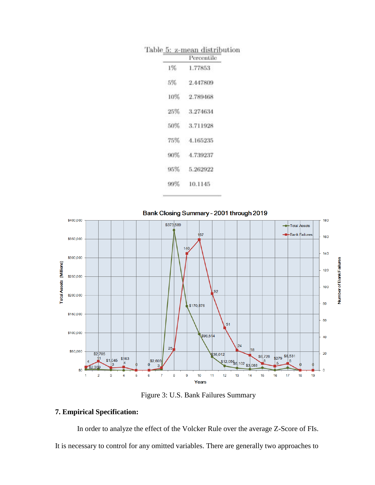|  | Table 5: z-mean distribution |  |  |
|--|------------------------------|--|--|
|  |                              |  |  |

|    | Percentile   |
|----|--------------|
| 1% | 1.77853      |
| 5% | 2.447809     |
|    | 10% 2.789468 |
|    | 25% 3.274634 |
|    | 50% 3.711928 |
|    | 75% 4.165235 |
|    | 90% 4.739237 |
|    | 95% 5.262922 |
|    | 99% 10.1145  |



Figure 3: U.S. Bank Failures Summary

### **7. Empirical Specification:**

In order to analyze the effect of the Volcker Rule over the average Z-Score of FIs. It is necessary to control for any omitted variables. There are generally two approaches to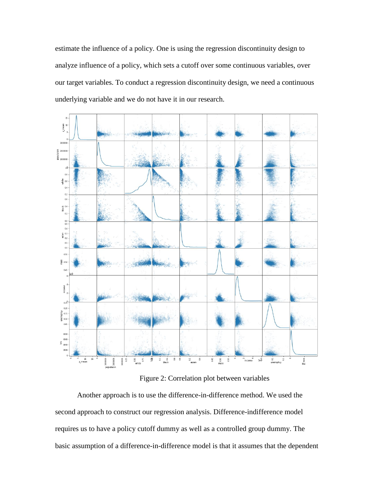estimate the influence of a policy. One is using the regression discontinuity design to analyze influence of a policy, which sets a cutoff over some continuous variables, over our target variables. To conduct a regression discontinuity design, we need a continuous underlying variable and we do not have it in our research.



Figure 2: Correlation plot between variables

Another approach is to use the difference-in-difference method. We used the second approach to construct our regression analysis. Difference-indifference model requires us to have a policy cutoff dummy as well as a controlled group dummy. The basic assumption of a difference-in-difference model is that it assumes that the dependent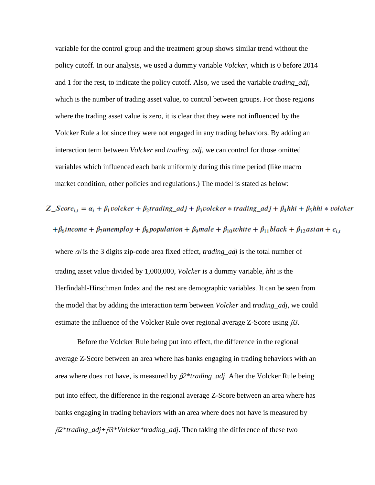variable for the control group and the treatment group shows similar trend without the policy cutoff. In our analysis, we used a dummy variable *Volcker,* which is 0 before 2014 and 1 for the rest, to indicate the policy cutoff. Also, we used the variable *trading\_adj,*  which is the number of trading asset value, to control between groups. For those regions where the trading asset value is zero, it is clear that they were not influenced by the Volcker Rule a lot since they were not engaged in any trading behaviors. By adding an interaction term between *Volcker* and *trading\_adj*, we can control for those omitted variables which influenced each bank uniformly during this time period (like macro market condition, other policies and regulations.) The model is stated as below:

## $Z_{\perp} Score_{i,t} = \alpha_i + \beta_1$ volcker +  $\beta_2$ trading\_adj +  $\beta_3$ volcker \* trading\_adj +  $\beta_4$ hhi +  $\beta_5$ hhi \* volcker + $\beta_6$ income +  $\beta_7$ unemploy +  $\beta_8$ population +  $\beta_9$ male +  $\beta_{10}$ white +  $\beta_{11}$ black +  $\beta_{12}$ asian +  $\epsilon_{i,t}$

where  $\alpha$ *i* is the 3 digits zip-code area fixed effect, *trading\_adj* is the total number of trading asset value divided by 1,000,000, *Volcker* is a dummy variable, *hhi* is the Herfindahl-Hirschman Index and the rest are demographic variables. It can be seen from the model that by adding the interaction term between *Volcker* and *trading\_adj*, we could estimate the influence of the Volcker Rule over regional average Z-Score using β*3.*

Before the Volcker Rule being put into effect, the difference in the regional average Z-Score between an area where has banks engaging in trading behaviors with an area where does not have, is measured by β*2\*trading\_adj*. After the Volcker Rule being put into effect, the difference in the regional average Z-Score between an area where has banks engaging in trading behaviors with an area where does not have is measured by β*2\*trading\_adj+*β*3\*Volcker\*trading\_adj*. Then taking the difference of these two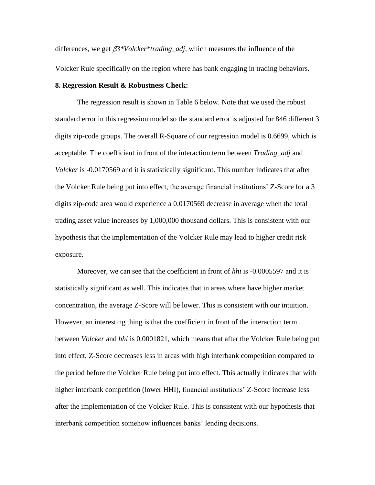differences, we get β*3\*Volcker\*trading\_adj*, which measures the influence of the Volcker Rule specifically on the region where has bank engaging in trading behaviors.

#### **8. Regression Result & Robustness Check:**

The regression result is shown in Table 6 below. Note that we used the robust standard error in this regression model so the standard error is adjusted for 846 different 3 digits zip-code groups. The overall R-Square of our regression model is 0.6699, which is acceptable. The coefficient in front of the interaction term between *Trading\_adj* and *Volcker* is -0.0170569 and it is statistically significant. This number indicates that after the Volcker Rule being put into effect, the average financial institutions' Z-Score for a 3 digits zip-code area would experience a 0.0170569 decrease in average when the total trading asset value increases by 1,000,000 thousand dollars. This is consistent with our hypothesis that the implementation of the Volcker Rule may lead to higher credit risk exposure.

Moreover, we can see that the coefficient in front of *hhi* is -0.0005597 and it is statistically significant as well. This indicates that in areas where have higher market concentration, the average Z-Score will be lower. This is consistent with our intuition. However, an interesting thing is that the coefficient in front of the interaction term between *Volcker* and *hhi* is 0.0001821, which means that after the Volcker Rule being put into effect, Z-Score decreases less in areas with high interbank competition compared to the period before the Volcker Rule being put into effect. This actually indicates that with higher interbank competition (lower HHI), financial institutions' Z-Score increase less after the implementation of the Volcker Rule. This is consistent with our hypothesis that interbank competition somehow influences banks' lending decisions.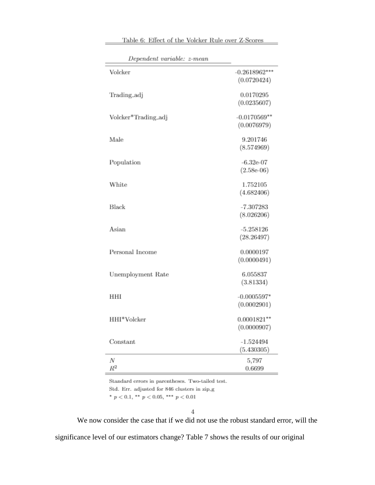| Dependent variable: z-mean |                                |
|----------------------------|--------------------------------|
| Volcker                    | $-0.2618962***$<br>(0.0720424) |
| Trading_adj                | 0.0170295<br>(0.0235607)       |
| Volcker*Trading_adj        | $-0.0170569**$<br>(0.0076979)  |
| Male                       | 9.201746<br>(8.574969)         |
| Population                 | $-6.32e-07$<br>$(2.58e-06)$    |
| White                      | 1.752105<br>(4.682406)         |
| Black                      | $-7.307283$                    |
| Asian                      | (8.026206)<br>$-5.258126$      |
| Personal Income            | (28.26497)<br>0.0000197        |
|                            | (0.0000491)<br>6.055837        |
| Unemployment Rate          | (3.81334)                      |
| HHI                        | $-0.0005597*$<br>(0.0002901)   |
| HHI*Volcker                | $0.0001821***$<br>(0.0000907)  |
| Constant                   | $-1.524494$<br>(5.430305)      |
| Ν<br>$R^2$                 | 5,797<br>0.6699                |

Table 6: Effect of the Volcker Rule over Z-Scores

Standard errors in parentheses. Two-tailed test.

Std. Err. adjusted for 846 clusters in zip\_g

 $^{\ast}$   $p<0.1,$   $^{\ast\ast}$   $p<0.05,$   $^{\ast\ast\ast}$   $p<0.01$ 

 $\overline{4}$ 

We now consider the case that if we did not use the robust standard error, will the

significance level of our estimators change? Table 7 shows the results of our original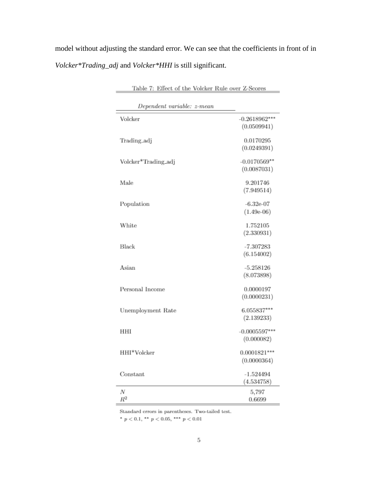model without adjusting the standard error. We can see that the coefficients in front of in *Volcker\*Trading\_adj* and *Volcker\*HHI* is still significant.

| Table 7: Effect of the Volcker Rule over Z-Scores |                          |  |  |  |
|---------------------------------------------------|--------------------------|--|--|--|
| Dependent variable: z-mean                        |                          |  |  |  |
| Volcker                                           | $-0.2618962***$          |  |  |  |
|                                                   | (0.0509941)              |  |  |  |
|                                                   |                          |  |  |  |
| Trading_adj                                       | 0.0170295                |  |  |  |
|                                                   | (0.0249391)              |  |  |  |
| Volcker*Trading_adj                               | $-0.0170569**$           |  |  |  |
|                                                   | (0.0087031)              |  |  |  |
| Male                                              | 9.201746                 |  |  |  |
|                                                   | (7.949514)               |  |  |  |
|                                                   |                          |  |  |  |
| Population                                        | $-6.32e-07$              |  |  |  |
|                                                   | $(1.49e-06)$             |  |  |  |
| White                                             | 1.752105                 |  |  |  |
|                                                   | (2.330931)               |  |  |  |
|                                                   |                          |  |  |  |
| Black                                             | $-7.307283$              |  |  |  |
|                                                   | (6.154002)               |  |  |  |
| Asian                                             | $-5.258126$              |  |  |  |
|                                                   | (8.073898)               |  |  |  |
|                                                   |                          |  |  |  |
| Personal Income                                   | 0.0000197<br>(0.0000231) |  |  |  |
|                                                   |                          |  |  |  |
| Unemployment Rate                                 | 6.055837***              |  |  |  |
|                                                   | (2.139233)               |  |  |  |
| HHI                                               | $-0.0005597***$          |  |  |  |
|                                                   | (0.000082)               |  |  |  |
|                                                   |                          |  |  |  |
| HHI*Volcker                                       | $0.0001821***$           |  |  |  |
|                                                   | (0.0000364)              |  |  |  |
| Constant                                          | $-1.524494$              |  |  |  |
|                                                   | (4.534758)               |  |  |  |
| N                                                 | 5,797                    |  |  |  |
| $R^2$                                             | 0.6699                   |  |  |  |

Standard errors in parentheses. Two-tailed test.

 $^{\ast}$   $p$   $<$  0.1,  $^{\ast\ast}$   $p$   $<$  0.05,  $^{\ast\ast\ast}$   $p$   $<$  0.01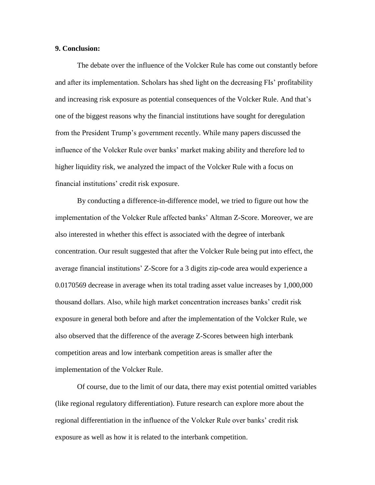#### **9. Conclusion:**

The debate over the influence of the Volcker Rule has come out constantly before and after its implementation. Scholars has shed light on the decreasing FIs' profitability and increasing risk exposure as potential consequences of the Volcker Rule. And that's one of the biggest reasons why the financial institutions have sought for deregulation from the President Trump's government recently. While many papers discussed the influence of the Volcker Rule over banks' market making ability and therefore led to higher liquidity risk, we analyzed the impact of the Volcker Rule with a focus on financial institutions' credit risk exposure.

By conducting a difference-in-difference model, we tried to figure out how the implementation of the Volcker Rule affected banks' Altman Z-Score. Moreover, we are also interested in whether this effect is associated with the degree of interbank concentration. Our result suggested that after the Volcker Rule being put into effect, the average financial institutions' Z-Score for a 3 digits zip-code area would experience a 0.0170569 decrease in average when its total trading asset value increases by 1,000,000 thousand dollars. Also, while high market concentration increases banks' credit risk exposure in general both before and after the implementation of the Volcker Rule, we also observed that the difference of the average Z-Scores between high interbank competition areas and low interbank competition areas is smaller after the implementation of the Volcker Rule.

Of course, due to the limit of our data, there may exist potential omitted variables (like regional regulatory differentiation). Future research can explore more about the regional differentiation in the influence of the Volcker Rule over banks' credit risk exposure as well as how it is related to the interbank competition.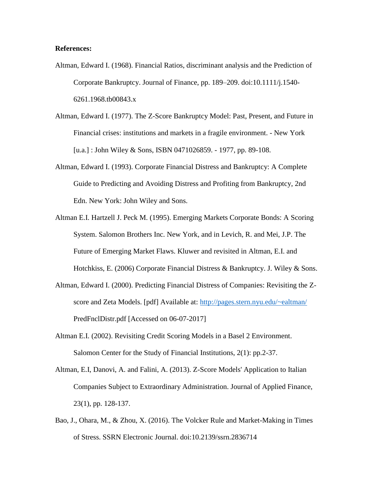#### **References:**

- Altman, Edward I. (1968). Financial Ratios, discriminant analysis and the Prediction of Corporate Bankruptcy. Journal of Finance, pp. 189–209. doi:10.1111/j.1540- 6261.1968.tb00843.x
- Altman, Edward I. (1977). The Z-Score Bankruptcy Model: Past, Present, and Future in Financial crises: institutions and markets in a fragile environment. - New York [u.a.] : John Wiley & Sons, ISBN 0471026859. - 1977, pp. 89-108.
- Altman, Edward I. (1993). Corporate Financial Distress and Bankruptcy: A Complete Guide to Predicting and Avoiding Distress and Profiting from Bankruptcy, 2nd Edn. New York: John Wiley and Sons.
- Altman E.I. Hartzell J. Peck M. (1995). Emerging Markets Corporate Bonds: A Scoring System. Salomon Brothers Inc. New York, and in Levich, R. and Mei, J.P. The Future of Emerging Market Flaws. Kluwer and revisited in Altman, E.I. and Hotchkiss, E. (2006) Corporate Financial Distress & Bankruptcy. J. Wiley & Sons.
- Altman, Edward I. (2000). Predicting Financial Distress of Companies: Revisiting the Zscore and Zeta Models. [pdf] Available at:<http://pages.stern.nyu.edu/~ealtman/> PredFnclDistr.pdf [Accessed on 06-07-2017]
- Altman E.I. (2002). Revisiting Credit Scoring Models in a Basel 2 Environment. Salomon Center for the Study of Financial Institutions, 2(1): pp.2-37.
- Altman, E.I, Danovi, A. and Falini, A. (2013). Z-Score Models' Application to Italian Companies Subject to Extraordinary Administration. Journal of Applied Finance, 23(1), pp. 128-137.
- Bao, J., Ohara, M., & Zhou, X. (2016). The Volcker Rule and Market-Making in Times of Stress. SSRN Electronic Journal. doi:10.2139/ssrn.2836714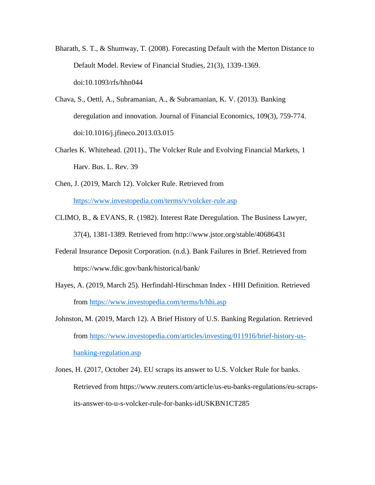- Bharath, S. T., & Shumway, T. (2008). Forecasting Default with the Merton Distance to Default Model. Review of Financial Studies, 21(3), 1339-1369. doi:10.1093/rfs/hhn044
- Chava, S., Oettl, A., Subramanian, A., & Subramanian, K. V. (2013). Banking deregulation and innovation. Journal of Financial Economics, 109(3), 759-774. doi:10.1016/j.jfineco.2013.03.015
- Charles K. Whitehead. (2011)., The Volcker Rule and Evolving Financial Markets, 1 Harv. Bus. L. Rev. 39
- Chen, J. (2019, March 12). Volcker Rule. Retrieved from <https://www.investopedia.com/terms/v/volcker-rule.asp>
- CLIMO, B., & EVANS, R. (1982). Interest Rate Deregulation. The Business Lawyer, 37(4), 1381-1389. Retrieved from http://www.jstor.org/stable/40686431
- Federal Insurance Deposit Corporation. (n.d.). Bank Failures in Brief. Retrieved from https://www.fdic.gov/bank/historical/bank/
- Hayes, A. (2019, March 25). Herfindahl-Hirschman Index HHI Definition. Retrieved from<https://www.investopedia.com/terms/h/hhi.asp>
- Johnston, M. (2019, March 12). A Brief History of U.S. Banking Regulation. Retrieved from [https://www.investopedia.com/articles/investing/011916/brief-history-us](https://www.investopedia.com/articles/investing/011916/brief-history-us-banking-regulation.asp)[banking-regulation.asp](https://www.investopedia.com/articles/investing/011916/brief-history-us-banking-regulation.asp)
- Jones, H. (2017, October 24). EU scraps its answer to U.S. Volcker Rule for banks. Retrieved from https://www.reuters.com/article/us-eu-banks-regulations/eu-scrapsits-answer-to-u-s-volcker-rule-for-banks-idUSKBN1CT285